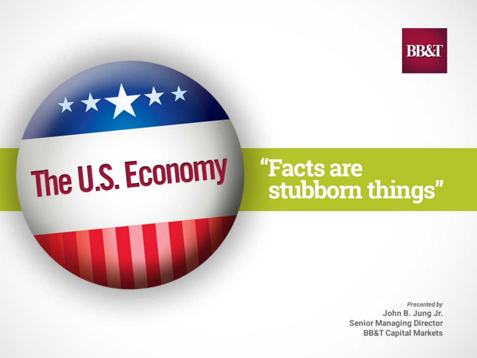



# The U.S. Economy

# "Facts are stubborn things"



Presented by John B. Jung Jr. **Senior Managing Director BB&T Capital Markets**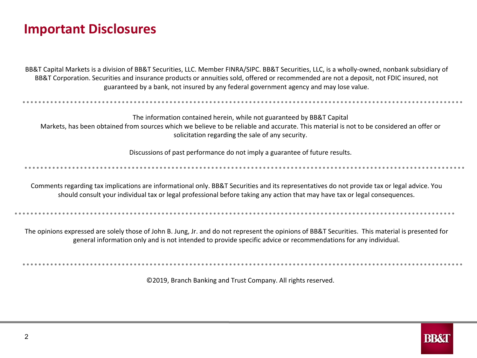#### **Important Disclosures**

BB&T Capital Markets is a division of BB&T Securities, LLC. Member FINRA/SIPC. BB&T Securities, LLC, is a wholly-owned, nonbank subsidiary of BB&T Corporation. Securities and insurance products or annuities sold, offered or recommended are not a deposit, not FDIC insured, not guaranteed by a bank, not insured by any federal government agency and may lose value.

The information contained herein, while not guaranteed by BB&T Capital Markets, has been obtained from sources which we believe to be reliable and accurate. This material is not to be considered an offer or solicitation regarding the sale of any security.

Discussions of past performance do not imply a guarantee of future results.

Comments regarding tax implications are informational only. BB&T Securities and its representatives do not provide tax or legal advice. You should consult your individual tax or legal professional before taking any action that may have tax or legal consequences.

The opinions expressed are solely those of John B. Jung, Jr. and do not represent the opinions of BB&T Securities. This material is presented for general information only and is not intended to provide specific advice or recommendations for any individual.

©2019, Branch Banking and Trust Company. All rights reserved.

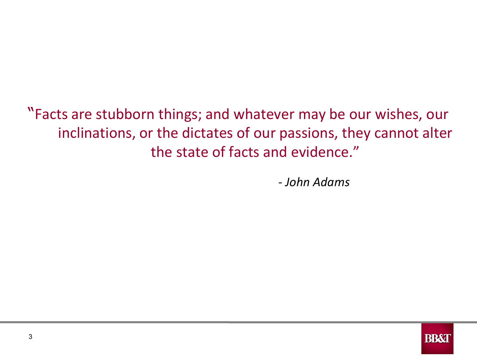"Facts are stubborn things; and whatever may be our wishes, our inclinations, or the dictates of our passions, they cannot alter the state of facts and evidence."

*- John Adams*

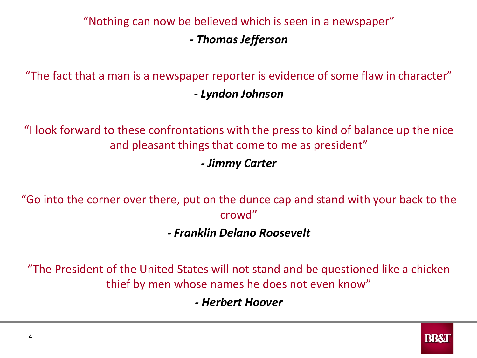#### "Nothing can now be believed which is seen in a newspaper" *- Thomas Jefferson*

"The fact that a man is a newspaper reporter is evidence of some flaw in character" *- Lyndon Johnson*

"I look forward to these confrontations with the press to kind of balance up the nice and pleasant things that come to me as president"

*- Jimmy Carter*

"Go into the corner over there, put on the dunce cap and stand with your back to the crowd"

*- Franklin Delano Roosevelt*

"The President of the United States will not stand and be questioned like a chicken thief by men whose names he does not even know"

*- Herbert Hoover*

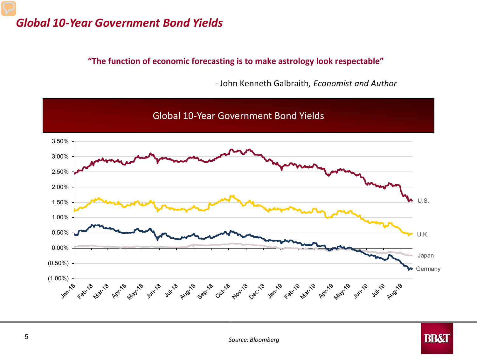#### *Global 10-Year Government Bond Yields*

**"The function of economic forecasting is to make astrology look respectable"** 

- John Kenneth Galbraith*, Economist and Author*

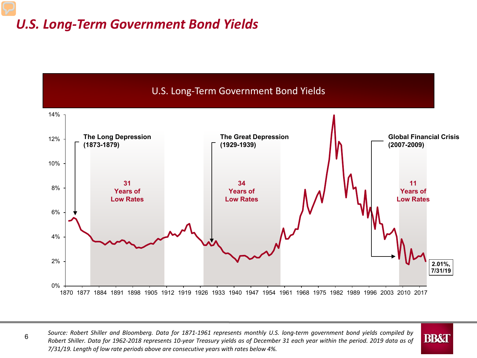#### *U.S. Long-Term Government Bond Yields*



6

Robert Shiller. Data for 1962-2018 represents 10-year Treasury yields as of December 31 each year within the period. 2019 data as of Source: Robert Shiller and Bloomberg. Data for 1871-1961 represents monthly U.S. long-term government bond yields compiled by *7/31/19. Length of low rate periods above are consecutive years with rates below 4%.*

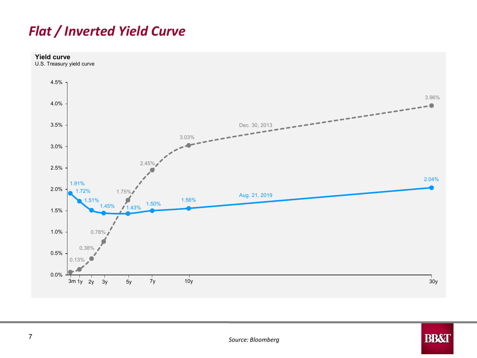#### *Flat / Inverted Yield Curve*



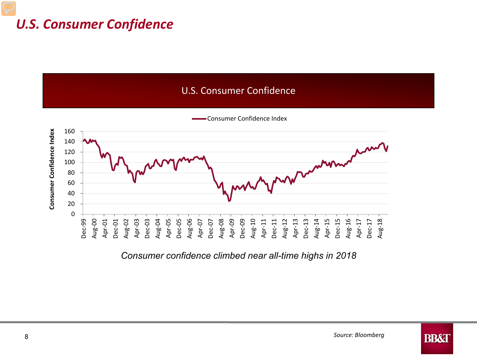#### *U.S. Consumer Confidence*





Consumer Confidence Index

*Consumer confidence climbed near all-time highs in 2018*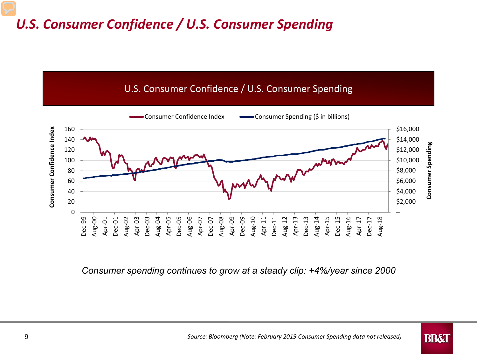#### *U.S. Consumer Confidence / U.S. Consumer Spending*



*Consumer spending continues to grow at a steady clip: +4%/year since 2000*

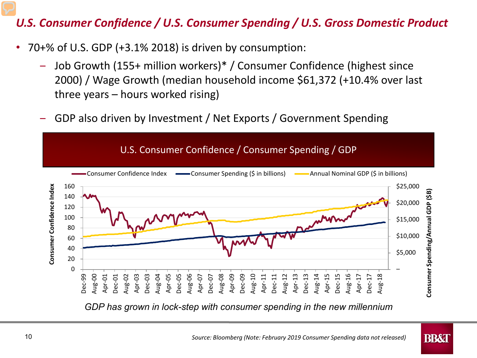#### *U.S. Consumer Confidence / U.S. Consumer Spending / U.S. Gross Domestic Product*

- 70+% of U.S. GDP (+3.1% 2018) is driven by consumption:
	- ‒ Job Growth (155+ million workers)\* / Consumer Confidence (highest since 2000) / Wage Growth (median household income \$61,372 (+10.4% over last three years – hours worked rising)
	- GDP also driven by Investment / Net Exports / Government Spending



*GDP has grown in lock-step with consumer spending in the new millennium*

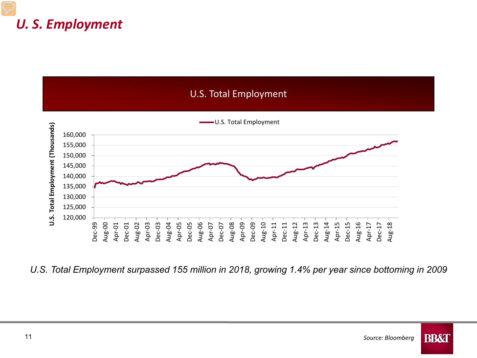#### *U. S. Employment*



*U.S. Total Employment surpassed 155 million in 2018, growing 1.4% per year since bottoming in 2009*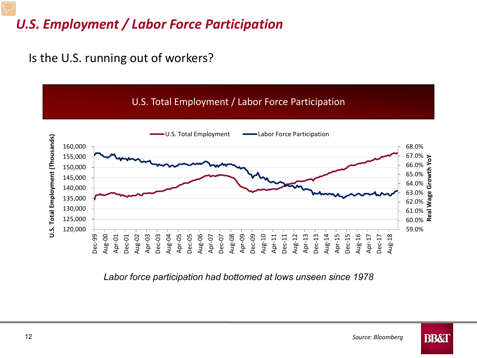### *U.S. Employment / Labor Force Participation*

Is the U.S. running out of workers?



*Labor force participation had bottomed at lows unseen since 1978*

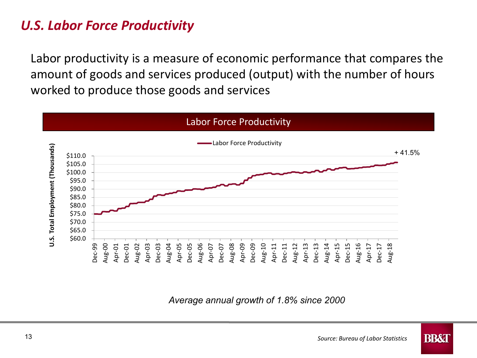#### *U.S. Labor Force Productivity*

Labor productivity is a measure of economic performance that compares the amount of goods and services produced (output) with the number of hours worked to produce those goods and services



*Average annual growth of 1.8% since 2000*

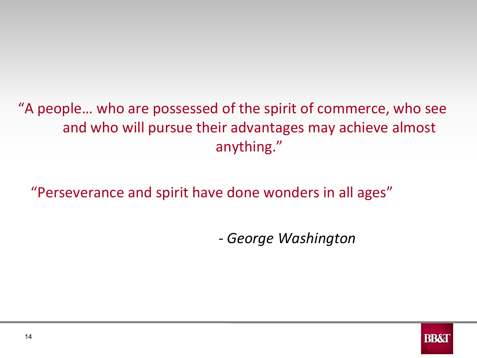# "A people… who are possessed of the spirit of commerce, who see and who will pursue their advantages may achieve almost anything."

"Perseverance and spirit have done wonders in all ages"

*- George Washington*

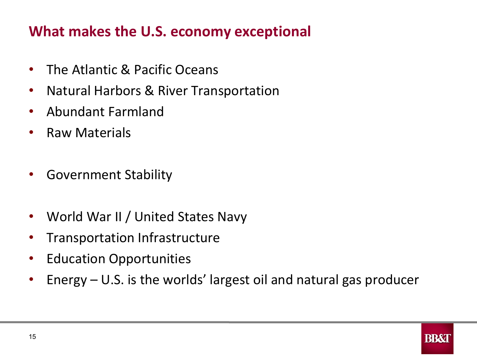# **What makes the U.S. economy exceptional**

- The Atlantic & Pacific Oceans
- Natural Harbors & River Transportation
- Abundant Farmland
- Raw Materials
- Government Stability
- World War II / United States Navy
- Transportation Infrastructure
- Education Opportunities
- Energy U.S. is the worlds' largest oil and natural gas producer

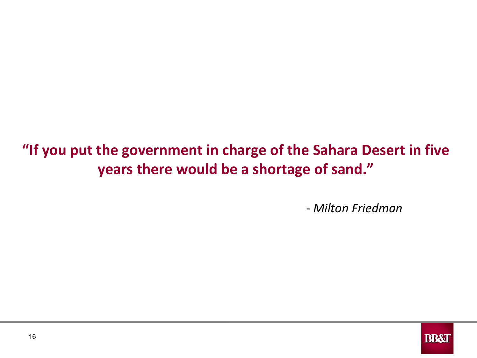# **"If you put the government in charge of the Sahara Desert in five years there would be a shortage of sand."**

- *Milton Friedman*

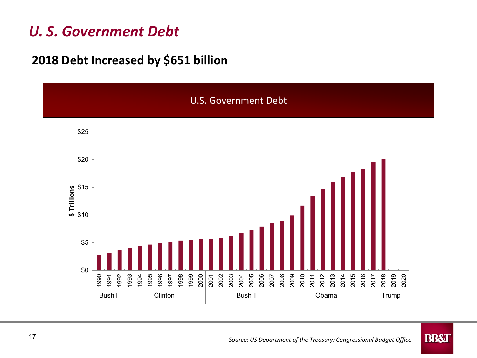### *U. S. Government Debt*

#### **2018 Debt Increased by \$651 billion**



**BB&T**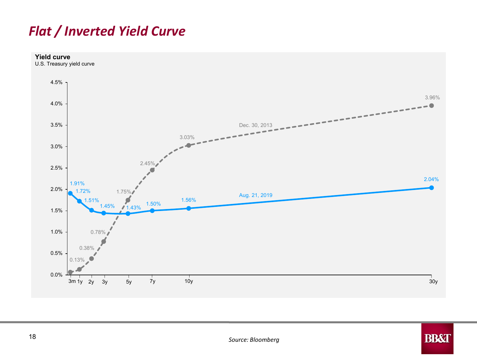#### *Flat / Inverted Yield Curve*



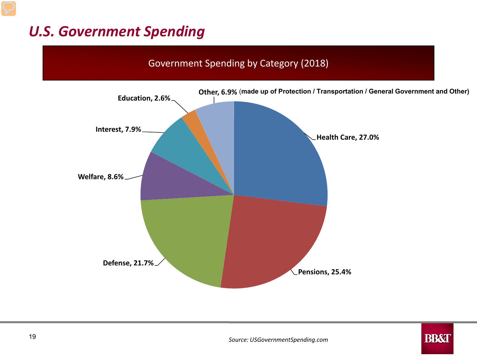# *U.S. Government Spending*

# Government Spending by Category (2018) **Education, 2.6% Other, 6.9%** (**made up of Protection / Transportation / General Government and Other)**



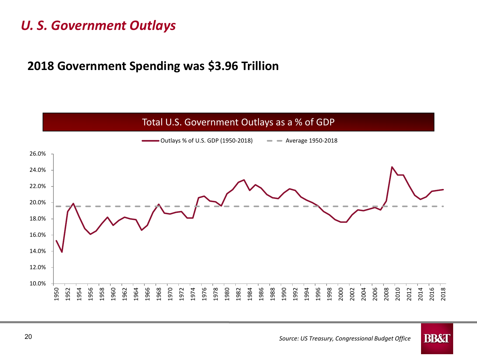#### *U. S. Government Outlays*

#### **2018 Government Spending was \$3.96 Trillion**

#### 10.0% 12.0% 14.0% 16.0% 18.0% 20.0% 22.0% 24.0% 26.0% 2002 2018  $\cdot$  Outlays % of U.S. GDP (1950-2018)  $\quad -$  Average 1950-2018 Total U.S. Government Outlays as a % of GDP

**BB&T** 

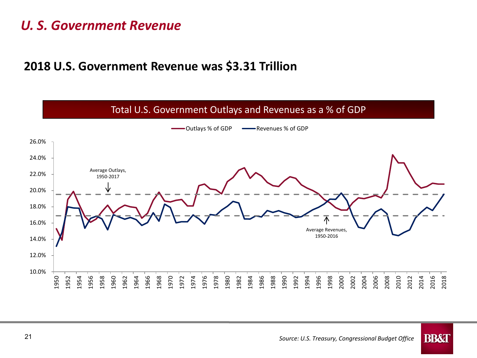#### *U. S. Government Revenue*

#### **2018 U.S. Government Revenue was \$3.31 Trillion**

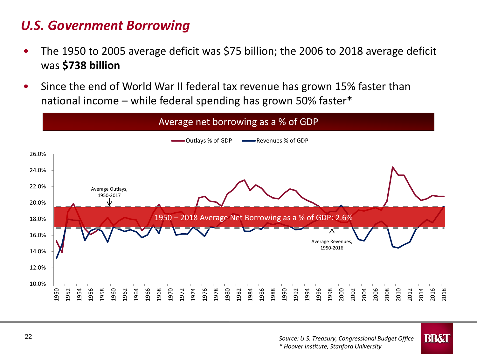#### *U.S. Government Borrowing*

- The 1950 to 2005 average deficit was \$75 billion; the 2006 to 2018 average deficit was **\$738 billion**
- Since the end of World War II federal tax revenue has grown 15% faster than national income – while federal spending has grown 50% faster\*

#### Average net borrowing as a % of GDP



**BB&T**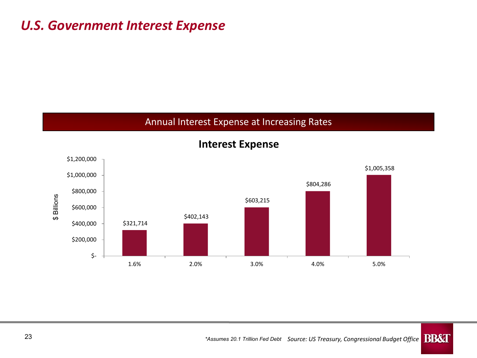#### *U.S. Government Interest Expense*

#### Annual Interest Expense at Increasing Rates



**Interest Expense**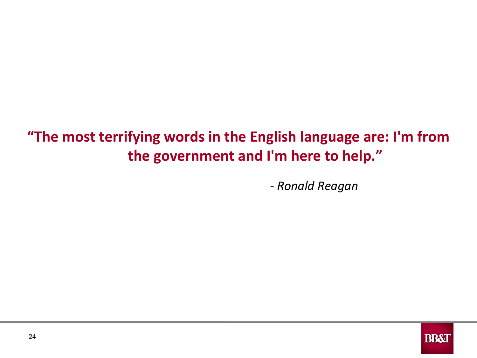# **"The most terrifying words in the English language are: I'm from the government and I'm here to help."**

*- Ronald Reagan*

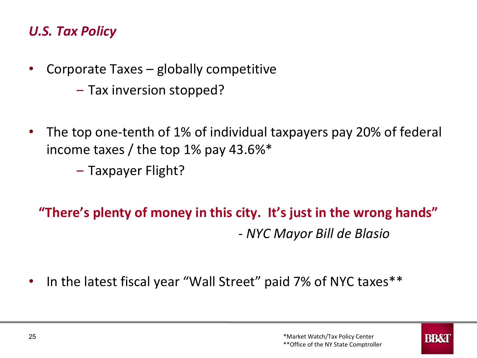#### *U.S. Tax Policy*

- Corporate Taxes globally competitive
	- Tax inversion stopped?
- The top one-tenth of 1% of individual taxpayers pay 20% of federal income taxes / the top 1% pay 43.6%\*
	- ‒ Taxpayer Flight?

# **"There's plenty of money in this city. It's just in the wrong hands"**  *- NYC Mayor Bill de Blasio*

• In the latest fiscal year "Wall Street" paid 7% of NYC taxes\*\*

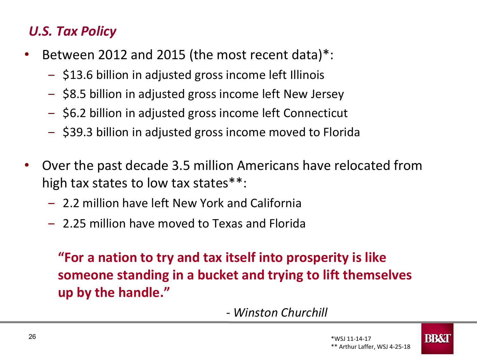#### *U.S. Tax Policy*

- Between 2012 and 2015 (the most recent data)\*:
	- ‒ \$13.6 billion in adjusted gross income left Illinois
	- ‒ \$8.5 billion in adjusted gross income left New Jersey
	- ‒ \$6.2 billion in adjusted gross income left Connecticut
	- ‒ \$39.3 billion in adjusted gross income moved to Florida
- Over the past decade 3.5 million Americans have relocated from high tax states to low tax states\*\*:
	- ‒ 2.2 million have left New York and California
	- ‒ 2.25 million have moved to Texas and Florida

**"For a nation to try and tax itself into prosperity is like someone standing in a bucket and trying to lift themselves up by the handle."** 

*- Winston Churchill*

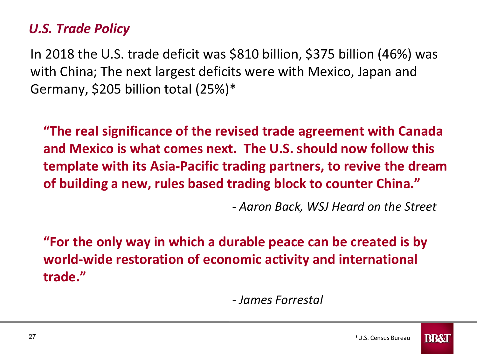#### *U.S. Trade Policy*

In 2018 the U.S. trade deficit was \$810 billion, \$375 billion (46%) was with China; The next largest deficits were with Mexico, Japan and Germany, \$205 billion total (25%)\*

**"The real significance of the revised trade agreement with Canada and Mexico is what comes next. The U.S. should now follow this template with its Asia-Pacific trading partners, to revive the dream of building a new, rules based trading block to counter China."** 

*- Aaron Back, WSJ Heard on the Street*

**"For the only way in which a durable peace can be created is by world-wide restoration of economic activity and international trade."** 

*- James Forrestal*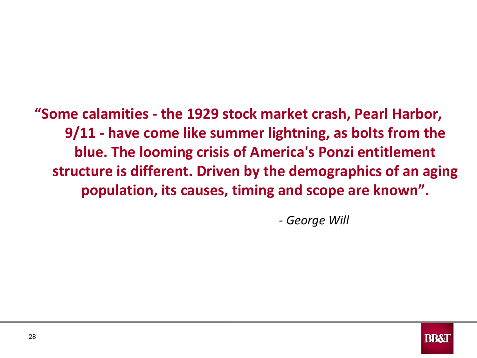# **"Some calamities - the 1929 stock market crash, Pearl Harbor, 9/11 - have come like summer lightning, as bolts from the blue. The looming crisis of America's Ponzi entitlement structure is different. Driven by the demographics of an aging population, its causes, timing and scope are known".**

*- George Will*

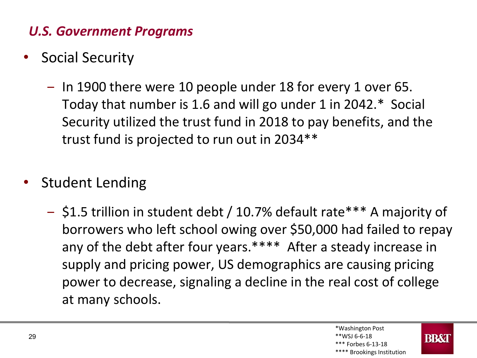#### *U.S. Government Programs*

- Social Security
	- In 1900 there were 10 people under 18 for every 1 over 65. Today that number is 1.6 and will go under 1 in 2042.\* Social Security utilized the trust fund in 2018 to pay benefits, and the trust fund is projected to run out in 2034\*\*
- Student Lending
	- ‒ \$1.5 trillion in student debt / 10.7% default rate\*\*\* A majority of borrowers who left school owing over \$50,000 had failed to repay any of the debt after four years.\*\*\*\* After a steady increase in supply and pricing power, US demographics are causing pricing power to decrease, signaling a decline in the real cost of college at many schools.

\*\*\*\* Brookings Institution

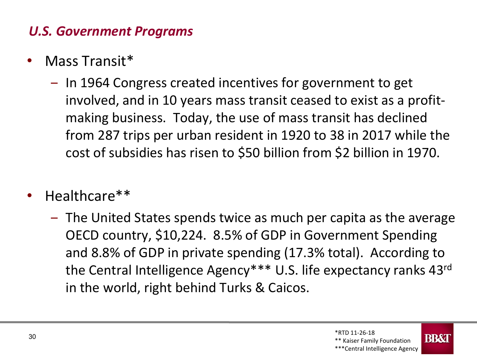#### *U.S. Government Programs*

- Mass Transit\*
	- In 1964 Congress created incentives for government to get involved, and in 10 years mass transit ceased to exist as a profitmaking business. Today, the use of mass transit has declined from 287 trips per urban resident in 1920 to 38 in 2017 while the cost of subsidies has risen to \$50 billion from \$2 billion in 1970.
- Healthcare\*\*
	- ‒ The United States spends twice as much per capita as the average OECD country, \$10,224. 8.5% of GDP in Government Spending and 8.8% of GDP in private spending (17.3% total). According to the Central Intelligence Agency\*\*\* U.S. life expectancy ranks 43rd in the world, right behind Turks & Caicos.

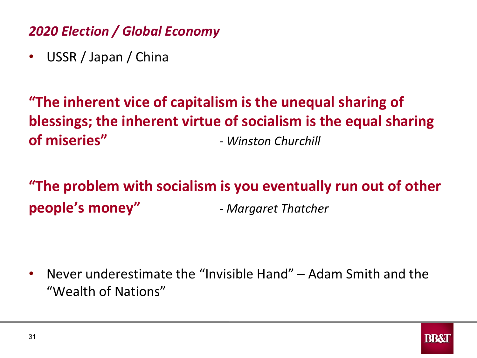### *2020 Election / Global Economy*

• USSR / Japan / China

# **"The inherent vice of capitalism is the unequal sharing of blessings; the inherent virtue of socialism is the equal sharing of miseries"** *- Winston Churchill*

**"The problem with socialism is you eventually run out of other people's money"** *- Margaret Thatcher*

• Never underestimate the "Invisible Hand" – Adam Smith and the "Wealth of Nations"

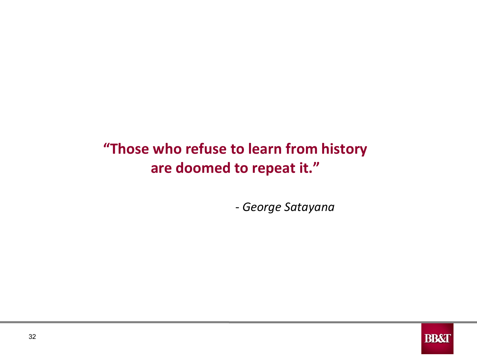# **"Those who refuse to learn from history are doomed to repeat it."**

- *George Satayana*

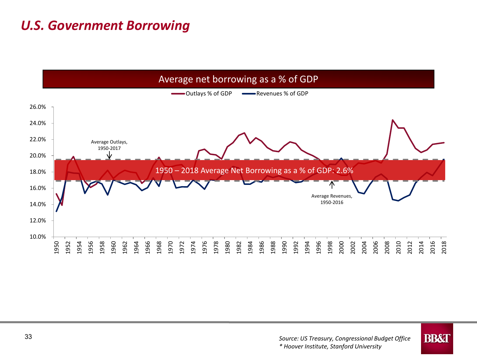#### *U.S. Government Borrowing*



**BB&T**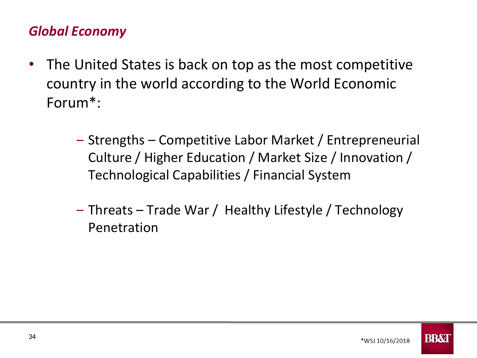#### *Global Economy*

- The United States is back on top as the most competitive country in the world according to the World Economic Forum\*:
	- ‒ Strengths Competitive Labor Market / Entrepreneurial Culture / Higher Education / Market Size / Innovation / Technological Capabilities / Financial System
	- ‒ Threats Trade War / Healthy Lifestyle / Technology Penetration

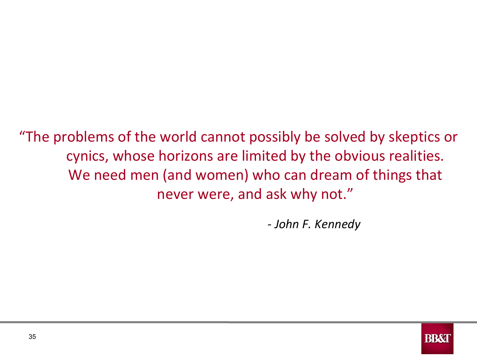"The problems of the world cannot possibly be solved by skeptics or cynics, whose horizons are limited by the obvious realities. We need men (and women) who can dream of things that never were, and ask why not."

*- John F. Kennedy*